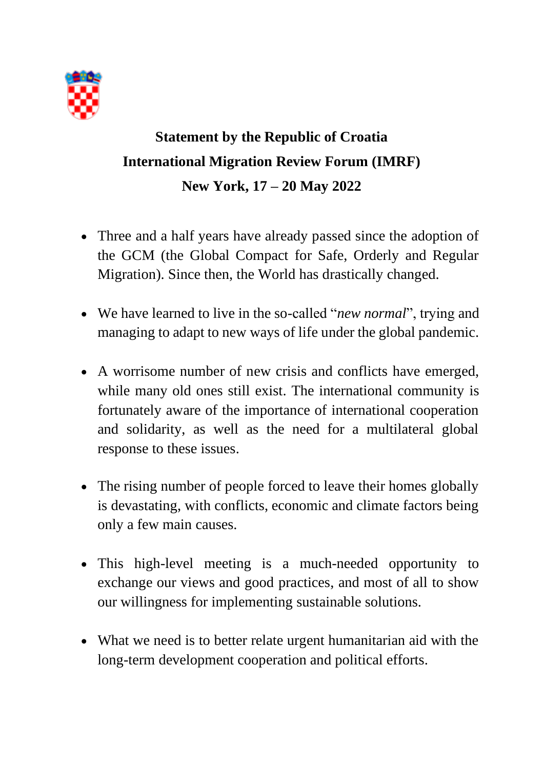

## **Statement by the Republic of Croatia International Migration Review Forum (IMRF) New York, 17 – 20 May 2022**

- Three and a half years have already passed since the adoption of the GCM (the Global Compact for Safe, Orderly and Regular Migration). Since then, the World has drastically changed.
- We have learned to live in the so-called "*new normal*", trying and managing to adapt to new ways of life under the global pandemic.
- A worrisome number of new crisis and conflicts have emerged, while many old ones still exist. The international community is fortunately aware of the importance of international cooperation and solidarity, as well as the need for a multilateral global response to these issues.
- The rising number of people forced to leave their homes globally is devastating, with conflicts, economic and climate factors being only a few main causes.
- This high-level meeting is a much-needed opportunity to exchange our views and good practices, and most of all to show our willingness for implementing sustainable solutions.
- What we need is to better relate urgent humanitarian aid with the long-term development cooperation and political efforts.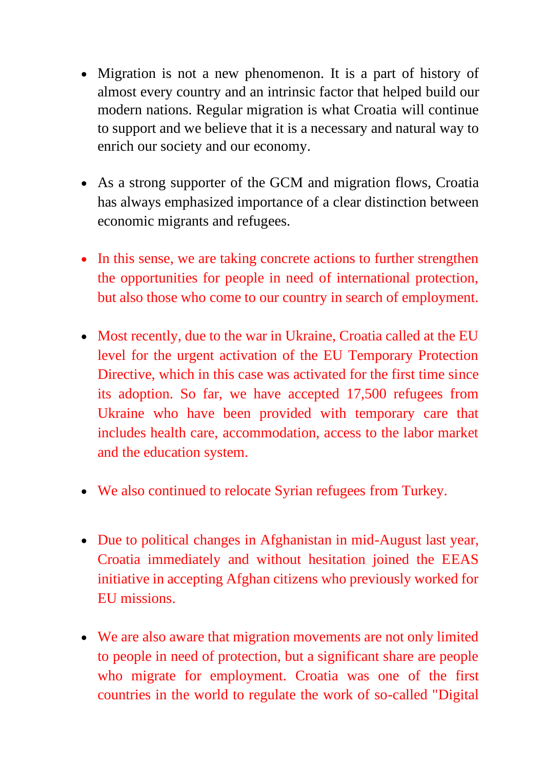- Migration is not a new phenomenon. It is a part of history of almost every country and an intrinsic factor that helped build our modern nations. Regular migration is what Croatia will continue to support and we believe that it is a necessary and natural way to enrich our society and our economy.
- As a strong supporter of the GCM and migration flows, Croatia has always emphasized importance of a clear distinction between economic migrants and refugees.
- In this sense, we are taking concrete actions to further strengthen the opportunities for people in need of international protection, but also those who come to our country in search of employment.
- Most recently, due to the war in Ukraine, Croatia called at the EU level for the urgent activation of the EU Temporary Protection Directive, which in this case was activated for the first time since its adoption. So far, we have accepted 17,500 refugees from Ukraine who have been provided with temporary care that includes health care, accommodation, access to the labor market and the education system.
- We also continued to relocate Syrian refugees from Turkey.
- Due to political changes in Afghanistan in mid-August last year, Croatia immediately and without hesitation joined the EEAS initiative in accepting Afghan citizens who previously worked for EU missions.
- We are also aware that migration movements are not only limited to people in need of protection, but a significant share are people who migrate for employment. Croatia was one of the first countries in the world to regulate the work of so-called "Digital